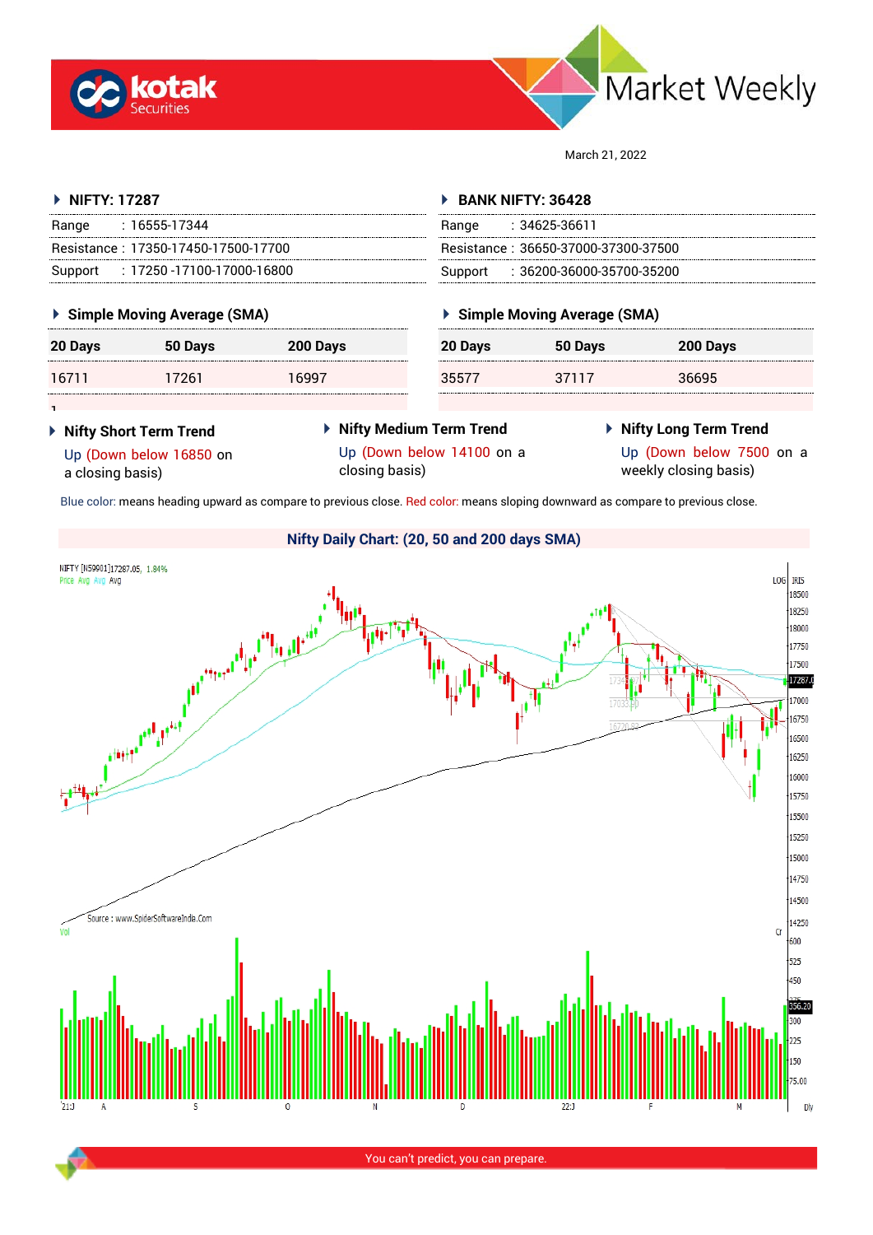



March 21, 2022

| ▶ NIFTY: 17287                                                          |                                     |                                                                                                                                | $\triangleright$ BANK NIFTY: 36428              |                                                                              |                 |  |
|-------------------------------------------------------------------------|-------------------------------------|--------------------------------------------------------------------------------------------------------------------------------|-------------------------------------------------|------------------------------------------------------------------------------|-----------------|--|
| Range                                                                   | : 16555-17344                       |                                                                                                                                | Range : 34625-36611                             |                                                                              |                 |  |
|                                                                         | Resistance: 17350-17450-17500-17700 |                                                                                                                                | Resistance: 36650-37000-37300-37500             |                                                                              |                 |  |
| Support                                                                 | : 17250 -17100-17000-16800          |                                                                                                                                | $\therefore$ 36200-36000-35700-35200<br>Support |                                                                              |                 |  |
|                                                                         | ▶ Simple Moving Average (SMA)       |                                                                                                                                | ▶ Simple Moving Average (SMA)                   |                                                                              |                 |  |
| 20 Days                                                                 | 50 Days                             | 200 Days                                                                                                                       | 20 Days                                         | 50 Days                                                                      | <b>200 Davs</b> |  |
| 16711                                                                   | 17261                               | 16997                                                                                                                          | 35577                                           | 37117                                                                        | 36695           |  |
|                                                                         |                                     |                                                                                                                                |                                                 |                                                                              |                 |  |
| ▶ Nifty Short Term Trend<br>Up (Down below 16850 on<br>a closing basis) |                                     | ▶ Nifty Medium Term Trend<br>Up (Down below 14100 on a<br>closing basis)                                                       |                                                 | ▶ Nifty Long Term Trend<br>Up (Down below 7500 on a<br>weekly closing basis) |                 |  |
|                                                                         |                                     | Blue color: means heading upward as compare to previous close. Red color: means sloping downward as compare to previous close. |                                                 |                                                                              |                 |  |



You can't predict, you can prepare.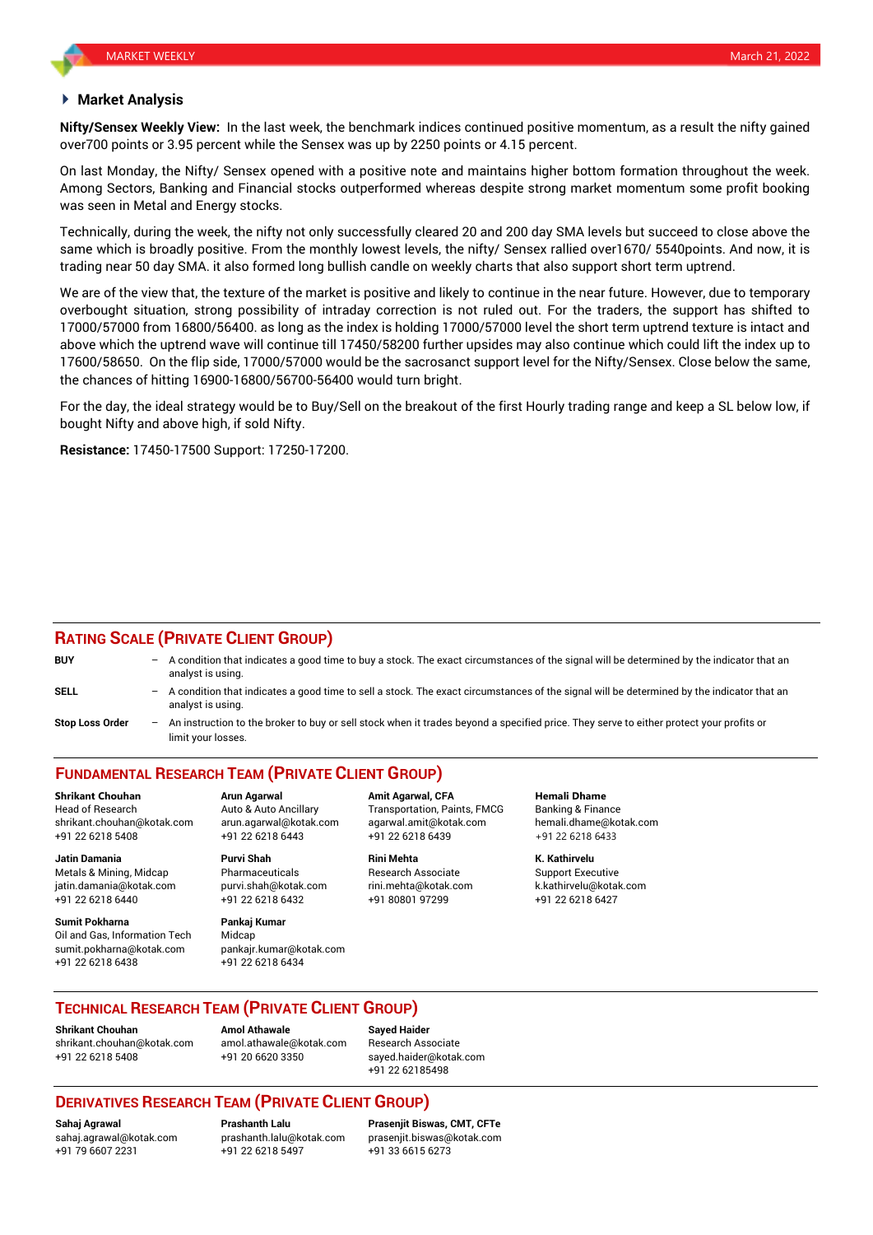#### **Market Analysis**

**Nifty/Sensex Weekly View:** In the last week, the benchmark indices continued positive momentum, as a result the nifty gained over700 points or 3.95 percent while the Sensex was up by 2250 points or 4.15 percent.

On last Monday, the Nifty/ Sensex opened with a positive note and maintains higher bottom formation throughout the week. Among Sectors, Banking and Financial stocks outperformed whereas despite strong market momentum some profit booking was seen in Metal and Energy stocks.

Technically, during the week, the nifty not only successfully cleared 20 and 200 day SMA levels but succeed to close above the same which is broadly positive. From the monthly lowest levels, the nifty/ Sensex rallied over1670/ 5540points. And now, it is trading near 50 day SMA. it also formed long bullish candle on weekly charts that also support short term uptrend.

We are of the view that, the texture of the market is positive and likely to continue in the near future. However, due to temporary overbought situation, strong possibility of intraday correction is not ruled out. For the traders, the support has shifted to 17000/57000 from 16800/56400. as long as the index is holding 17000/57000 level the short term uptrend texture is intact and above which the uptrend wave will continue till 17450/58200 further upsides may also continue which could lift the index up to 17600/58650. On the flip side, 17000/57000 would be the sacrosanct support level for the Nifty/Sensex. Close below the same, the chances of hitting 16900-16800/56700-56400 would turn bright.

For the day, the ideal strategy would be to Buy/Sell on the breakout of the first Hourly trading range and keep a SL below low, if bought Nifty and above high, if sold Nifty.

**Resistance:** 17450-17500 Support: 17250-17200.

### **RATING SCALE (PRIVATE CLIENT GROUP)**

| <b>BUY</b>      | - A condition that indicates a good time to buy a stock. The exact circumstances of the signal will be determined by the indicator that an<br>analyst is using.  |
|-----------------|------------------------------------------------------------------------------------------------------------------------------------------------------------------|
| SELL            | - A condition that indicates a good time to sell a stock. The exact circumstances of the signal will be determined by the indicator that an<br>analyst is using. |
| Stop Loss Order | An instruction to the broker to buy or sell stock when it trades beyond a specified price. They serve to either protect your profits or<br>limit your losses.    |

# **FUNDAMENTAL RESEARCH TEAM (PRIVATE CLIENT GROUP)**

Head of Research **Auto & Auto Ancillary** Transportation, Paints, FMCG Banking & Finance shrikant.chouhan@kotak.com arun.agarwal@kotak.com [agarwal.amit@kotak.com](mailto:agarwal.amit@kotak.com) hemali.dhame@kotak.com +91 22 6218 5408 +91 22 6218 6443 +91 22 6218 6439 +91 22 6218 6433

Metals & Mining, Midcap Pharmaceuticals Research Associate Support Executive jatin.damania@kotak.com [purvi.shah@kotak.com](mailto:purvi.shah@kotak.com) rini.mehta@kotak.com [k.kathirvelu@kotak.com](mailto:k.kathirvelu@kotak.com) +91 22 6218 6440 +91 22 6218 6432 +91 80801 97299 +91 22 6218 6427

**Sumit Pokharna** Pankaj Kumar Oil and Gas, Information Tech Midcap sumit.pokharna@kotak.com pankajr.kumar@kotak.com +91 22 6218 6438 +91 22 6218 6434

**Jatin Damania Purvi Shah Rini Mehta K. Kathirvelu**

**Shrikant Chouhan Arun Agarwal Amit Agarwal, CFA Hemali Dhame**

### **TECHNICAL RESEARCH TEAM (PRIVATE CLIENT GROUP)**

**Shrikant Chouhan Amol Athawale Sayed Haider** [shrikant.chouhan@kotak.com](mailto:shrikant.chouhan@kotak.com) [amol.athawale@kotak.com](mailto:amol.athawale@kotak.com) Research Associate +91 22 6218 5408 +91 20 6620 3350 [sayed.haider@kotak.com](mailto:sayed.haider@kotak.com)

+91 22 62185498

## **DERIVATIVES RESEARCH TEAM (PRIVATE CLIENT GROUP)**

+91 79 6607 2231 +91 22 6218 5497 +91 33 6615 6273

**Sahaj Agrawal Prashanth Lalu Prasenjit Biswas, CMT, CFTe** [sahaj.agrawal@kotak.com](mailto:sahaj.agrawal@kotak.com) [prashanth.lalu@kotak.com](mailto:prashanth.lalu@kotak.com) [prasenjit.biswas@kotak.com](mailto:prasenjit.biswas@kotak.com)